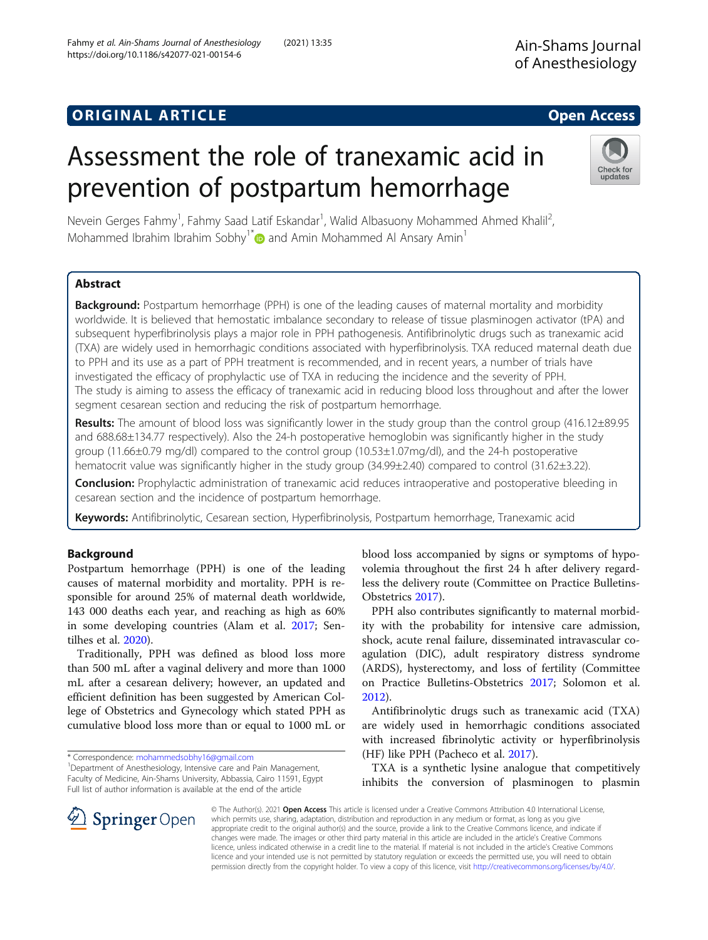# **ORIGINAL ARTICLE CONSERVANCE IN A LOCAL CONSERVANCE IN A LOCAL CONSERVANCE IN A LOCAL CONSERVANCE IN A LOCAL CONS**

# Assessment the role of tranexamic acid in prevention of postpartum hemorrhage

Nevein Gerges Fahmy<sup>1</sup>, Fahmy Saad Latif Eskandar<sup>1</sup>, Walid Albasuony Mohammed Ahmed Khalil<sup>2</sup> , Mohammed Ibrahim Ibrahim Sobhy<sup>1[\\*](http://orcid.org/0000-0003-1074-2967)</sup> and Amin Mohammed Al Ansary Amin<sup>1</sup>

# Abstract

**Background:** Postpartum hemorrhage (PPH) is one of the leading causes of maternal mortality and morbidity worldwide. It is believed that hemostatic imbalance secondary to release of tissue plasminogen activator (tPA) and subsequent hyperfibrinolysis plays a major role in PPH pathogenesis. Antifibrinolytic drugs such as tranexamic acid (TXA) are widely used in hemorrhagic conditions associated with hyperfibrinolysis. TXA reduced maternal death due to PPH and its use as a part of PPH treatment is recommended, and in recent years, a number of trials have investigated the efficacy of prophylactic use of TXA in reducing the incidence and the severity of PPH. The study is aiming to assess the efficacy of tranexamic acid in reducing blood loss throughout and after the lower segment cesarean section and reducing the risk of postpartum hemorrhage.

Results: The amount of blood loss was significantly lower in the study group than the control group (416.12±89.95 and 688.68±134.77 respectively). Also the 24-h postoperative hemoglobin was significantly higher in the study group (11.66±0.79 mg/dl) compared to the control group (10.53±1.07mg/dl), and the 24-h postoperative hematocrit value was significantly higher in the study group (34.99±2.40) compared to control (31.62±3.22).

**Conclusion:** Prophylactic administration of tranexamic acid reduces intraoperative and postoperative bleeding in cesarean section and the incidence of postpartum hemorrhage.

Keywords: Antifibrinolytic, Cesarean section, Hyperfibrinolysis, Postpartum hemorrhage, Tranexamic acid

#### Background

Postpartum hemorrhage (PPH) is one of the leading causes of maternal morbidity and mortality. PPH is responsible for around 25% of maternal death worldwide, 143 000 deaths each year, and reaching as high as 60% in some developing countries (Alam et al. [2017;](#page-6-0) Sentilhes et al. [2020\)](#page-7-0).

Traditionally, PPH was defined as blood loss more than 500 mL after a vaginal delivery and more than 1000 mL after a cesarean delivery; however, an updated and efficient definition has been suggested by American College of Obstetrics and Gynecology which stated PPH as cumulative blood loss more than or equal to 1000 mL or

\* Correspondence: [mohammedsobhy16@gmail.com](mailto:mohammedsobhy16@gmail.com) <sup>1</sup>

blood loss accompanied by signs or symptoms of hypovolemia throughout the first 24 h after delivery regardless the delivery route (Committee on Practice Bulletins-Obstetrics [2017](#page-6-0)).

PPH also contributes significantly to maternal morbidity with the probability for intensive care admission, shock, acute renal failure, disseminated intravascular coagulation (DIC), adult respiratory distress syndrome (ARDS), hysterectomy, and loss of fertility (Committee on Practice Bulletins-Obstetrics [2017;](#page-6-0) Solomon et al. [2012](#page-7-0)).

Antifibrinolytic drugs such as tranexamic acid (TXA) are widely used in hemorrhagic conditions associated with increased fibrinolytic activity or hyperfibrinolysis (HF) like PPH (Pacheco et al. [2017](#page-7-0)).

TXA is a synthetic lysine analogue that competitively inhibits the conversion of plasminogen to plasmin

© The Author(s). 2021 Open Access This article is licensed under a Creative Commons Attribution 4.0 International License, which permits use, sharing, adaptation, distribution and reproduction in any medium or format, as long as you give appropriate credit to the original author(s) and the source, provide a link to the Creative Commons licence, and indicate if changes were made. The images or other third party material in this article are included in the article's Creative Commons licence, unless indicated otherwise in a credit line to the material. If material is not included in the article's Creative Commons licence and your intended use is not permitted by statutory regulation or exceeds the permitted use, you will need to obtain permission directly from the copyright holder. To view a copy of this licence, visit <http://creativecommons.org/licenses/by/4.0/>.





<sup>&</sup>lt;sup>1</sup> Department of Anesthesiology, Intensive care and Pain Management, Faculty of Medicine, Ain-Shams University, Abbassia, Cairo 11591, Egypt Full list of author information is available at the end of the article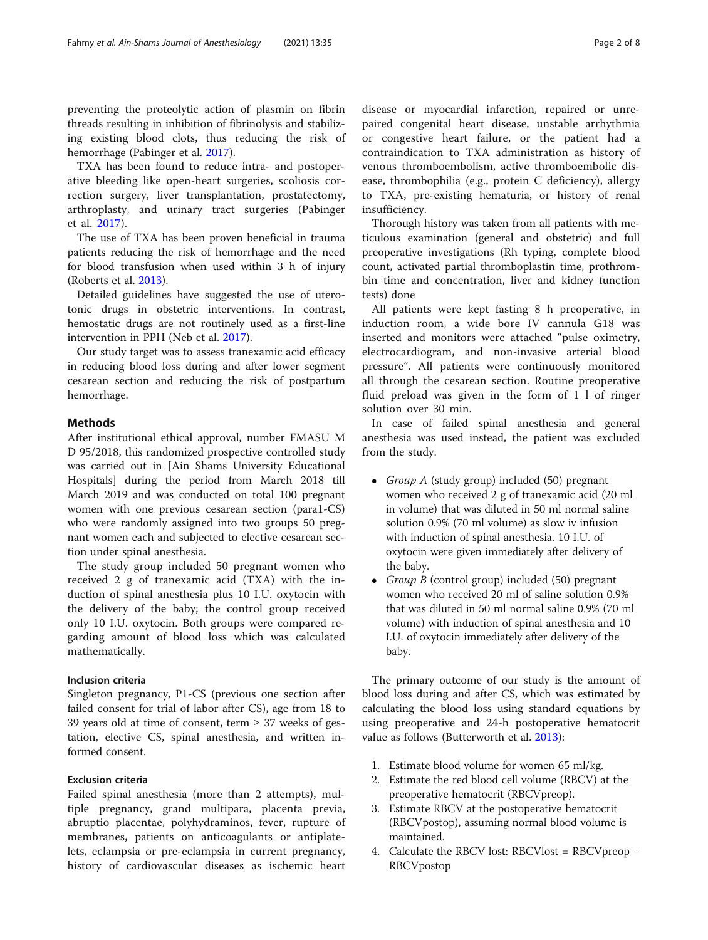preventing the proteolytic action of plasmin on fibrin threads resulting in inhibition of fibrinolysis and stabilizing existing blood clots, thus reducing the risk of hemorrhage (Pabinger et al. [2017\)](#page-7-0).

TXA has been found to reduce intra- and postoperative bleeding like open-heart surgeries, scoliosis correction surgery, liver transplantation, prostatectomy, arthroplasty, and urinary tract surgeries (Pabinger et al. [2017\)](#page-7-0).

The use of TXA has been proven beneficial in trauma patients reducing the risk of hemorrhage and the need for blood transfusion when used within 3 h of injury (Roberts et al. [2013](#page-7-0)).

Detailed guidelines have suggested the use of uterotonic drugs in obstetric interventions. In contrast, hemostatic drugs are not routinely used as a first-line intervention in PPH (Neb et al. [2017](#page-7-0)).

Our study target was to assess tranexamic acid efficacy in reducing blood loss during and after lower segment cesarean section and reducing the risk of postpartum hemorrhage.

#### Methods

After institutional ethical approval, number FMASU M D 95/2018, this randomized prospective controlled study was carried out in [Ain Shams University Educational Hospitals] during the period from March 2018 till March 2019 and was conducted on total 100 pregnant women with one previous cesarean section (para1-CS) who were randomly assigned into two groups 50 pregnant women each and subjected to elective cesarean section under spinal anesthesia.

The study group included 50 pregnant women who received 2 g of tranexamic acid (TXA) with the induction of spinal anesthesia plus 10 I.U. oxytocin with the delivery of the baby; the control group received only 10 I.U. oxytocin. Both groups were compared regarding amount of blood loss which was calculated mathematically.

#### Inclusion criteria

Singleton pregnancy, P1-CS (previous one section after failed consent for trial of labor after CS), age from 18 to 39 years old at time of consent, term  $\geq$  37 weeks of gestation, elective CS, spinal anesthesia, and written informed consent.

### Exclusion criteria

Failed spinal anesthesia (more than 2 attempts), multiple pregnancy, grand multipara, placenta previa, abruptio placentae, polyhydraminos, fever, rupture of membranes, patients on anticoagulants or antiplatelets, eclampsia or pre-eclampsia in current pregnancy, history of cardiovascular diseases as ischemic heart

disease or myocardial infarction, repaired or unrepaired congenital heart disease, unstable arrhythmia or congestive heart failure, or the patient had a contraindication to TXA administration as history of venous thromboembolism, active thromboembolic disease, thrombophilia (e.g., protein C deficiency), allergy to TXA, pre-existing hematuria, or history of renal insufficiency.

Thorough history was taken from all patients with meticulous examination (general and obstetric) and full preoperative investigations (Rh typing, complete blood count, activated partial thromboplastin time, prothrombin time and concentration, liver and kidney function tests) done

All patients were kept fasting 8 h preoperative, in induction room, a wide bore IV cannula G18 was inserted and monitors were attached "pulse oximetry, electrocardiogram, and non-invasive arterial blood pressure". All patients were continuously monitored all through the cesarean section. Routine preoperative fluid preload was given in the form of 1 l of ringer solution over 30 min.

In case of failed spinal anesthesia and general anesthesia was used instead, the patient was excluded from the study.

- Group A (study group) included  $(50)$  pregnant women who received 2 g of tranexamic acid (20 ml in volume) that was diluted in 50 ml normal saline solution 0.9% (70 ml volume) as slow iv infusion with induction of spinal anesthesia. 10 I.U. of oxytocin were given immediately after delivery of the baby.
- Group B (control group) included  $(50)$  pregnant women who received 20 ml of saline solution 0.9% that was diluted in 50 ml normal saline 0.9% (70 ml volume) with induction of spinal anesthesia and 10 I.U. of oxytocin immediately after delivery of the baby.

The primary outcome of our study is the amount of blood loss during and after CS, which was estimated by calculating the blood loss using standard equations by using preoperative and 24-h postoperative hematocrit value as follows (Butterworth et al. [2013\)](#page-6-0):

- 1. Estimate blood volume for women 65 ml/kg.
- 2. Estimate the red blood cell volume (RBCV) at the preoperative hematocrit (RBCVpreop).
- 3. Estimate RBCV at the postoperative hematocrit (RBCVpostop), assuming normal blood volume is maintained.
- 4. Calculate the RBCV lost: RBCVlost = RBCVpreop − RBCVpostop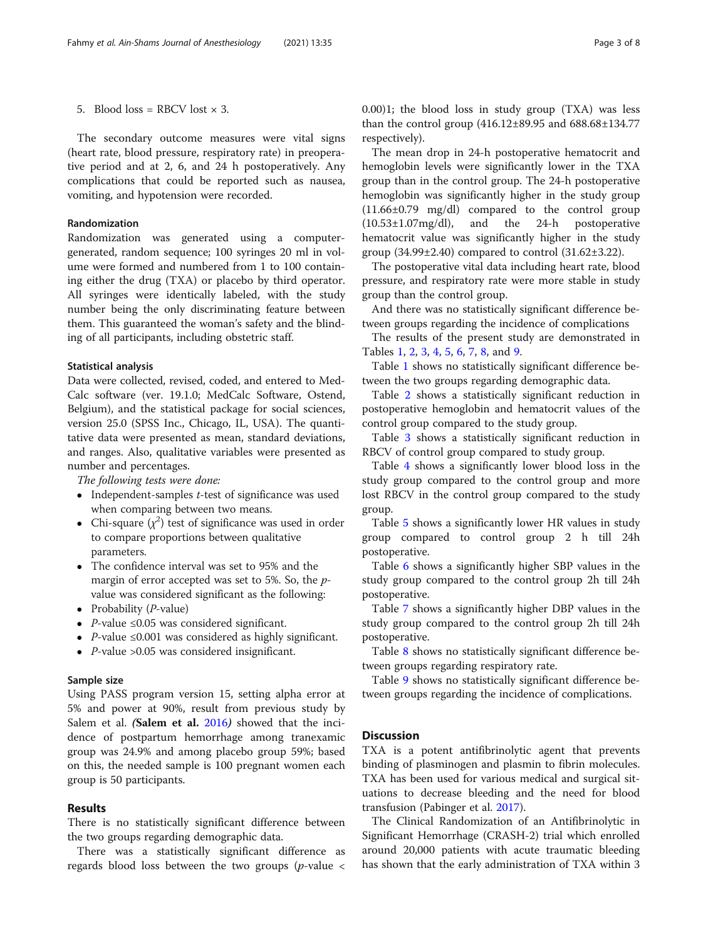5. Blood loss = RBCV lost  $\times$  3.

The secondary outcome measures were vital signs (heart rate, blood pressure, respiratory rate) in preoperative period and at 2, 6, and 24 h postoperatively. Any complications that could be reported such as nausea, vomiting, and hypotension were recorded.

#### Randomization

Randomization was generated using a computergenerated, random sequence; 100 syringes 20 ml in volume were formed and numbered from 1 to 100 containing either the drug (TXA) or placebo by third operator. All syringes were identically labeled, with the study number being the only discriminating feature between them. This guaranteed the woman's safety and the blinding of all participants, including obstetric staff.

#### Statistical analysis

Data were collected, revised, coded, and entered to Med-Calc software (ver. 19.1.0; MedCalc Software, Ostend, Belgium), and the statistical package for social sciences, version 25.0 (SPSS Inc., Chicago, IL, USA). The quantitative data were presented as mean, standard deviations, and ranges. Also, qualitative variables were presented as number and percentages.

The following tests were done:

- $\bullet$  Independent-samples *t*-test of significance was used when comparing between two means.
- Chi-square  $(\chi^2)$  test of significance was used in order to compare proportions between qualitative parameters.
- The confidence interval was set to 95% and the margin of error accepted was set to 5%. So, the pvalue was considered significant as the following:
- Probability  $(P$ -value)
- P-value  $\leq 0.05$  was considered significant.
- P-value ≤0.001 was considered as highly significant.
- P-value  $>0.05$  was considered insignificant.

#### Sample size

Using PASS program version 15, setting alpha error at 5% and power at 90%, result from previous study by Salem et al. (Salem et al. [2016](#page-7-0)) showed that the incidence of postpartum hemorrhage among tranexamic group was 24.9% and among placebo group 59%; based on this, the needed sample is 100 pregnant women each group is 50 participants.

#### Results

There is no statistically significant difference between the two groups regarding demographic data.

There was a statistically significant difference as regards blood loss between the two groups ( $p$ -value  $\lt$  0.00)1; the blood loss in study group (TXA) was less than the control group (416.12±89.95 and 688.68±134.77 respectively).

The mean drop in 24-h postoperative hematocrit and hemoglobin levels were significantly lower in the TXA group than in the control group. The 24-h postoperative hemoglobin was significantly higher in the study group (11.66±0.79 mg/dl) compared to the control group (10.53±1.07mg/dl), and the 24-h postoperative hematocrit value was significantly higher in the study group (34.99±2.40) compared to control (31.62±3.22).

The postoperative vital data including heart rate, blood pressure, and respiratory rate were more stable in study group than the control group.

And there was no statistically significant difference between groups regarding the incidence of complications

The results of the present study are demonstrated in Tables [1](#page-3-0), [2](#page-3-0), [3](#page-4-0), [4](#page-4-0), [5](#page-5-0), [6](#page-5-0), [7](#page-5-0), [8](#page-5-0), and [9](#page-5-0).

Table [1](#page-3-0) shows no statistically significant difference between the two groups regarding demographic data.

Table [2](#page-3-0) shows a statistically significant reduction in postoperative hemoglobin and hematocrit values of the control group compared to the study group.

Table [3](#page-4-0) shows a statistically significant reduction in RBCV of control group compared to study group.

Table [4](#page-4-0) shows a significantly lower blood loss in the study group compared to the control group and more lost RBCV in the control group compared to the study group.

Table [5](#page-5-0) shows a significantly lower HR values in study group compared to control group 2 h till 24h postoperative.

Table [6](#page-5-0) shows a significantly higher SBP values in the study group compared to the control group 2h till 24h postoperative.

Table [7](#page-5-0) shows a significantly higher DBP values in the study group compared to the control group 2h till 24h postoperative.

Table [8](#page-5-0) shows no statistically significant difference between groups regarding respiratory rate.

Table [9](#page-5-0) shows no statistically significant difference between groups regarding the incidence of complications.

#### **Discussion**

TXA is a potent antifibrinolytic agent that prevents binding of plasminogen and plasmin to fibrin molecules. TXA has been used for various medical and surgical situations to decrease bleeding and the need for blood transfusion (Pabinger et al. [2017](#page-7-0)).

The Clinical Randomization of an Antifibrinolytic in Significant Hemorrhage (CRASH-2) trial which enrolled around 20,000 patients with acute traumatic bleeding has shown that the early administration of TXA within 3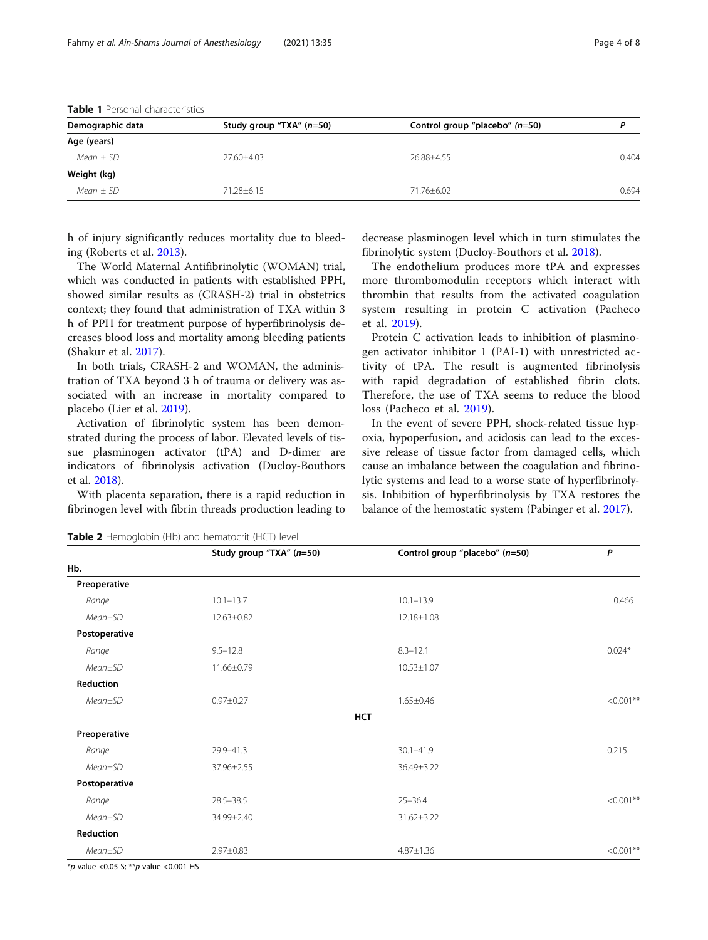| Demographic data | Study group "TXA" $(n=50)$ | Control group "placebo" (n=50) |       |  |
|------------------|----------------------------|--------------------------------|-------|--|
| Age (years)      |                            |                                |       |  |
| Mean $\pm$ SD    | $27.60 + 4.03$             | 26.88+4.55                     | 0.404 |  |
| Weight (kg)      |                            |                                |       |  |
| $Mean \pm SD$    | 71.28±6.15                 | 71.76±6.02                     | 0.694 |  |
|                  |                            |                                |       |  |

<span id="page-3-0"></span>

| <b>Table 1</b> Personal characteristics |
|-----------------------------------------|
|                                         |

h of injury significantly reduces mortality due to bleeding (Roberts et al. [2013\)](#page-7-0).

The World Maternal Antifibrinolytic (WOMAN) trial, which was conducted in patients with established PPH, showed similar results as (CRASH-2) trial in obstetrics context; they found that administration of TXA within 3 h of PPH for treatment purpose of hyperfibrinolysis decreases blood loss and mortality among bleeding patients (Shakur et al. [2017\)](#page-7-0).

In both trials, CRASH-2 and WOMAN, the administration of TXA beyond 3 h of trauma or delivery was associated with an increase in mortality compared to placebo (Lier et al. [2019](#page-6-0)).

Activation of fibrinolytic system has been demonstrated during the process of labor. Elevated levels of tissue plasminogen activator (tPA) and D-dimer are indicators of fibrinolysis activation (Ducloy-Bouthors et al. [2018\)](#page-6-0).

With placenta separation, there is a rapid reduction in fibrinogen level with fibrin threads production leading to

decrease plasminogen level which in turn stimulates the fibrinolytic system (Ducloy-Bouthors et al. [2018\)](#page-6-0).

The endothelium produces more tPA and expresses more thrombomodulin receptors which interact with thrombin that results from the activated coagulation system resulting in protein C activation (Pacheco et al. [2019\)](#page-7-0).

Protein C activation leads to inhibition of plasminogen activator inhibitor 1 (PAI-1) with unrestricted activity of tPA. The result is augmented fibrinolysis with rapid degradation of established fibrin clots. Therefore, the use of TXA seems to reduce the blood loss (Pacheco et al. [2019\)](#page-7-0).

In the event of severe PPH, shock-related tissue hypoxia, hypoperfusion, and acidosis can lead to the excessive release of tissue factor from damaged cells, which cause an imbalance between the coagulation and fibrinolytic systems and lead to a worse state of hyperfibrinolysis. Inhibition of hyperfibrinolysis by TXA restores the balance of the hemostatic system (Pabinger et al. [2017](#page-7-0)).

|               | Study group "TXA" (n=50) | Control group "placebo" (n=50) | P            |
|---------------|--------------------------|--------------------------------|--------------|
| Hb.           |                          |                                |              |
| Preoperative  |                          |                                |              |
| Range         | $10.1 - 13.7$            | $10.1 - 13.9$                  | 0.466        |
| Mean±SD       | 12.63±0.82               | 12.18±1.08                     |              |
| Postoperative |                          |                                |              |
| Range         | $9.5 - 12.8$             | $8.3 - 12.1$                   | $0.024*$     |
| Mean±SD       | 11.66±0.79               | $10.53 \pm 1.07$               |              |
| Reduction     |                          |                                |              |
| $Mean \pm SD$ | $0.97 \pm 0.27$          | $1.65 \pm 0.46$                | $< 0.001**$  |
|               |                          | <b>HCT</b>                     |              |
| Preoperative  |                          |                                |              |
| Range         | 29.9-41.3                | $30.1 - 41.9$                  | 0.215        |
| Mean±SD       | 37.96±2.55               | 36.49±3.22                     |              |
| Postoperative |                          |                                |              |
| Range         | $28.5 - 38.5$            | $25 - 36.4$                    | $< 0.001$ ** |
| Mean±SD       | 34.99±2.40               | 31.62±3.22                     |              |
| Reduction     |                          |                                |              |
| Mean±SD       | 2.97±0.83                | $4.87 \pm 1.36$                | $< 0.001$ ** |

Table 2 Hemoglobin (Hb) and hematocrit (HCT) level

\*p-value <0.05 S; \*\*p-value <0.001 HS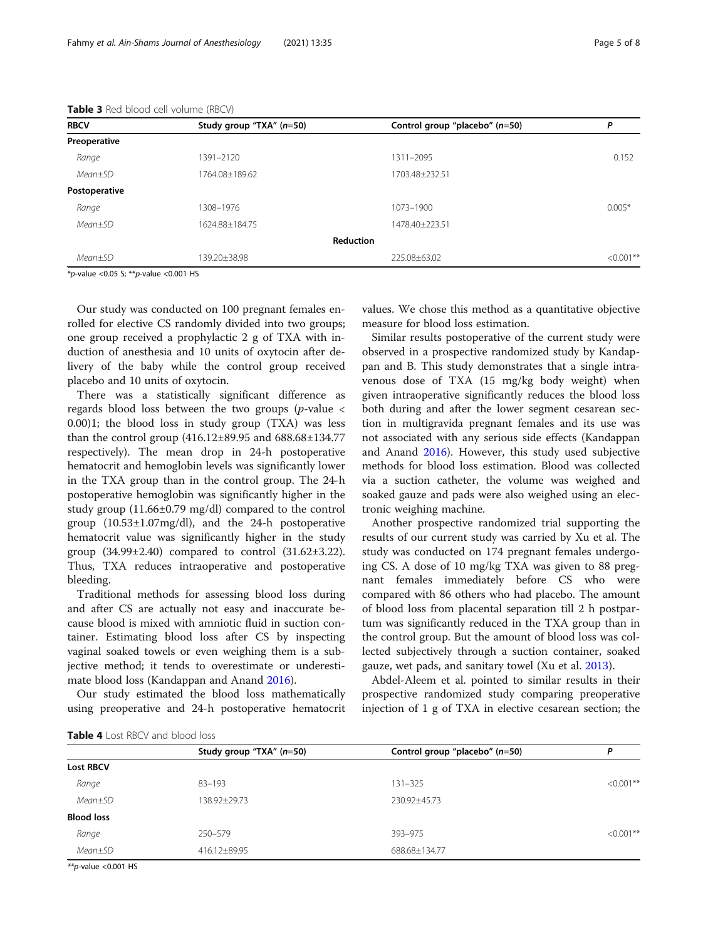| <b>RBCV</b>   | Study group "TXA" $(n=50)$ | Control group "placebo" (n=50) | Ρ            |
|---------------|----------------------------|--------------------------------|--------------|
| Preoperative  |                            |                                |              |
| Range         | 1391-2120                  | 1311-2095                      | 0.152        |
| $Mean \pm SD$ | 1764.08±189.62             | 1703.48+232.51                 |              |
| Postoperative |                            |                                |              |
| Range         | 1308-1976                  | 1073-1900                      | $0.005*$     |
| $Mean+SD$     | 1624.88±184.75             | 1478.40+223.51                 |              |
|               |                            | <b>Reduction</b>               |              |
| $Mean \pm SD$ | 139.20±38.98               | 225.08±63.02                   | $< 0.001$ ** |
|               |                            |                                |              |

<span id="page-4-0"></span>

| <b>Table 3</b> Red blood cell volume (RBCV) |  |  |  |  |  |
|---------------------------------------------|--|--|--|--|--|
|---------------------------------------------|--|--|--|--|--|

 $*_{p\text{-value}}$  <0.05 S;  $*_{p\text{-value}}$  <0.001 HS

Our study was conducted on 100 pregnant females enrolled for elective CS randomly divided into two groups; one group received a prophylactic 2 g of TXA with induction of anesthesia and 10 units of oxytocin after delivery of the baby while the control group received placebo and 10 units of oxytocin.

There was a statistically significant difference as regards blood loss between the two groups ( $p$ -value < 0.00)1; the blood loss in study group (TXA) was less than the control group (416.12±89.95 and 688.68±134.77 respectively). The mean drop in 24-h postoperative hematocrit and hemoglobin levels was significantly lower in the TXA group than in the control group. The 24-h postoperative hemoglobin was significantly higher in the study group (11.66±0.79 mg/dl) compared to the control group (10.53±1.07mg/dl), and the 24-h postoperative hematocrit value was significantly higher in the study group  $(34.99 \pm 2.40)$  compared to control  $(31.62 \pm 3.22)$ . Thus, TXA reduces intraoperative and postoperative bleeding.

Traditional methods for assessing blood loss during and after CS are actually not easy and inaccurate because blood is mixed with amniotic fluid in suction container. Estimating blood loss after CS by inspecting vaginal soaked towels or even weighing them is a subjective method; it tends to overestimate or underestimate blood loss (Kandappan and Anand [2016](#page-6-0)).

Our study estimated the blood loss mathematically using preoperative and 24-h postoperative hematocrit values. We chose this method as a quantitative objective measure for blood loss estimation.

Similar results postoperative of the current study were observed in a prospective randomized study by Kandappan and B. This study demonstrates that a single intravenous dose of TXA (15 mg/kg body weight) when given intraoperative significantly reduces the blood loss both during and after the lower segment cesarean section in multigravida pregnant females and its use was not associated with any serious side effects (Kandappan and Anand [2016](#page-6-0)). However, this study used subjective methods for blood loss estimation. Blood was collected via a suction catheter, the volume was weighed and soaked gauze and pads were also weighed using an electronic weighing machine.

Another prospective randomized trial supporting the results of our current study was carried by Xu et al. The study was conducted on 174 pregnant females undergoing CS. A dose of 10 mg/kg TXA was given to 88 pregnant females immediately before CS who were compared with 86 others who had placebo. The amount of blood loss from placental separation till 2 h postpartum was significantly reduced in the TXA group than in the control group. But the amount of blood loss was collected subjectively through a suction container, soaked gauze, wet pads, and sanitary towel (Xu et al. [2013](#page-7-0)).

Abdel-Aleem et al. pointed to similar results in their prospective randomized study comparing preoperative injection of 1 g of TXA in elective cesarean section; the

| <b>IMMIC</b> T LOJE INDEX GITG DIOOG TOJJ |                            |                                  |              |
|-------------------------------------------|----------------------------|----------------------------------|--------------|
|                                           | Study group "TXA" $(n=50)$ | Control group "placebo" $(n=50)$ |              |
| <b>Lost RBCV</b>                          |                            |                                  |              |
| Range                                     | $83 - 193$                 | $131 - 325$                      | $< 0.001$ ** |
| $Mean \pm SD$                             | 138.92±29.73               | 230.92±45.73                     |              |
| <b>Blood loss</b>                         |                            |                                  |              |
| Range                                     | 250-579                    | 393-975                          | $< 0.001$ ** |
| $Mean \pm SD$                             | 416.12±89.95               | 688.68±134.77                    |              |
|                                           |                            |                                  |              |

 $*$ *r*-value <0.001 HS

Table 4 Lost RRCV and blood loss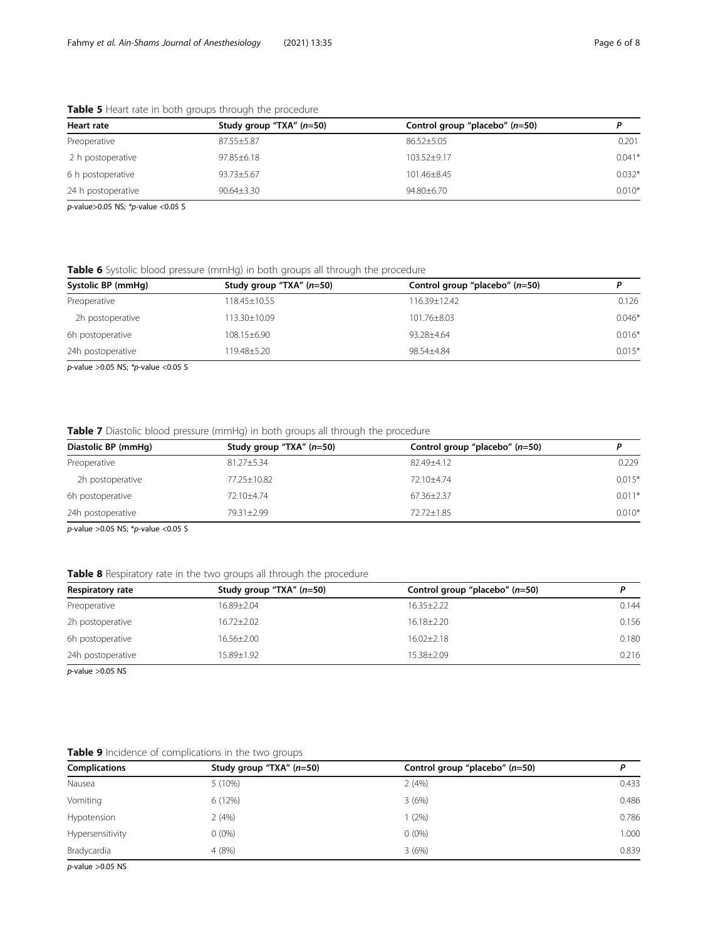| Heart rate         | Study group "TXA" (n=50) | Control group "placebo" $(n=50)$ |          |
|--------------------|--------------------------|----------------------------------|----------|
| Preoperative       | 87.55±5.87               | $86.52 \pm 5.05$                 | 0.201    |
| 2 h postoperative  | $97.85 \pm 6.18$         | $103.52 + 9.17$                  | $0.041*$ |
| 6 h postoperative  | 93.73±5.67               | $101.46 + 8.45$                  | $0.032*$ |
| 24 h postoperative | $90.64 \pm 3.30$         | $94.80 + 6.70$                   | $0.010*$ |

<span id="page-5-0"></span>Table 5 Heart rate in both groups through the procedure

 $p$ -value>0.05 NS; \*p-value <0.05 S

Table 6 Systolic blood pressure (mmHg) in both groups all through the procedure

| Systolic BP (mmHg) | Study group "TXA" $(n=50)$ | Control group "placebo" (n=50) | D        |
|--------------------|----------------------------|--------------------------------|----------|
| Preoperative       | 118.45±10.55               | 116.39±12.42                   | 0.126    |
| 2h postoperative   | 113.30+10.09               | 101.76±8.03                    | $0.046*$ |
| 6h postoperative   | $108.15 + 6.90$            | 93.28+4.64                     | $0.016*$ |
| 24h postoperative  | 119.48±5.20                | 98.54+4.84                     | $0.015*$ |

 $p$ -value >0.05 NS; \* $p$ -value <0.05 S

Table 7 Diastolic blood pressure (mmHg) in both groups all through the procedure

| Diastolic BP (mmHg) | Study group "TXA" $(n=50)$ | Control group "placebo" $(n=50)$ | D        |
|---------------------|----------------------------|----------------------------------|----------|
| Preoperative        | $81.27 + 5.34$             | 82.49+4.12                       | 0.229    |
| 2h postoperative    | 77.25±10.82                | $72.10 + 4.74$                   | $0.015*$ |
| 6h postoperative    | 72.10+4.74                 | 67.36+2.37                       | $0.011*$ |
| 24h postoperative   | 79.31+2.99                 | $72.72 + 1.85$                   | $0.010*$ |

 $p$ -value > 0.05 NS; \* $p$ -value < 0.05 S

#### Table 8 Respiratory rate in the two groups all through the procedure

| Respiratory rate  | Study group "TXA" (n=50) | Control group "placebo" $(n=50)$ |       |
|-------------------|--------------------------|----------------------------------|-------|
| Preoperative      | 16.89±2.04               | $16.35 \pm 2.22$                 | 0.144 |
| 2h postoperative  | $16.72 \pm 2.02$         | $16.18 \pm 2.20$                 | 0.156 |
| 6h postoperative  | $16.56 \pm 2.00$         | $16.02 + 2.18$                   | 0.180 |
| 24h postoperative | 15.89±1.92               | 15.38+2.09                       | 0.216 |

 $p$ -value >0.05 NS

## Table 9 Incidence of complications in the two groups

| <b>Complications</b> | Study group "TXA" (n=50) | Control group "placebo" (n=50) | D     |
|----------------------|--------------------------|--------------------------------|-------|
| Nausea               | 5 (10%)                  | 2(4%)                          | 0.433 |
| Vomiting             | 6(12%)                   | 3(6%)                          | 0.486 |
| Hypotension          | 2(4%)                    | $1(2\%)$                       | 0.786 |
| Hypersensitivity     | $0(0\%)$                 | $0(0\%)$                       | 1.000 |
| Bradycardia          | 4(8%)                    | 3(6%)                          | 0.839 |
|                      |                          |                                |       |

 $p$ -value >0.05 NS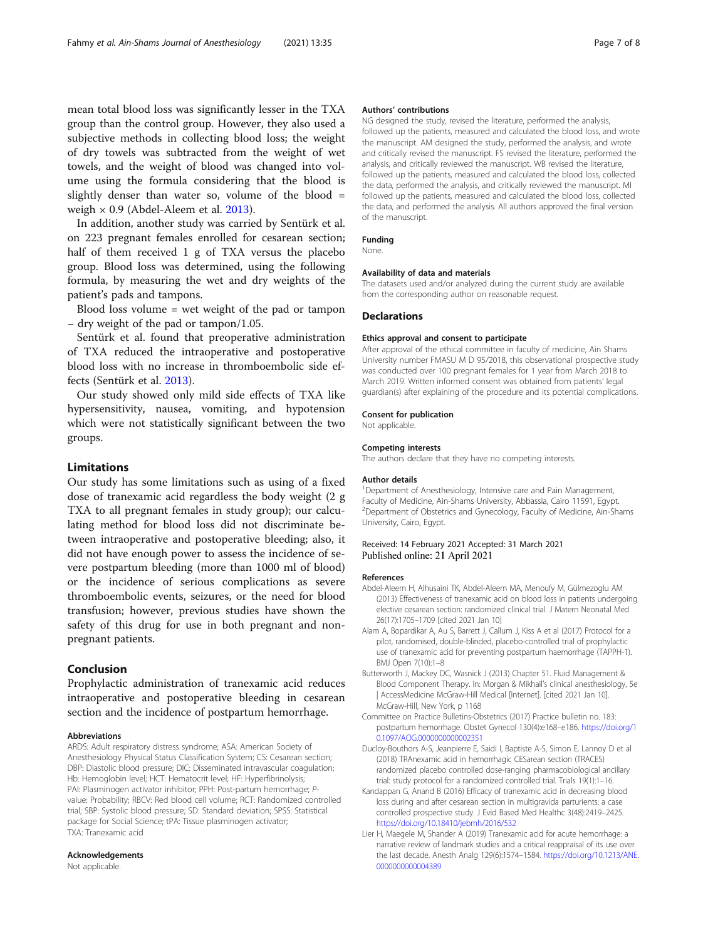<span id="page-6-0"></span>mean total blood loss was significantly lesser in the TXA group than the control group. However, they also used a subjective methods in collecting blood loss; the weight of dry towels was subtracted from the weight of wet towels, and the weight of blood was changed into volume using the formula considering that the blood is slightly denser than water so, volume of the blood  $=$ weigh  $\times$  0.9 (Abdel-Aleem et al. 2013).

In addition, another study was carried by Sentürk et al. on 223 pregnant females enrolled for cesarean section; half of them received 1 g of TXA versus the placebo group. Blood loss was determined, using the following formula, by measuring the wet and dry weights of the patient's pads and tampons.

Blood loss volume = wet weight of the pad or tampon − dry weight of the pad or tampon/1.05.

Sentürk et al. found that preoperative administration of TXA reduced the intraoperative and postoperative blood loss with no increase in thromboembolic side effects (Sentürk et al. [2013](#page-7-0)).

Our study showed only mild side effects of TXA like hypersensitivity, nausea, vomiting, and hypotension which were not statistically significant between the two groups.

#### Limitations

Our study has some limitations such as using of a fixed dose of tranexamic acid regardless the body weight (2 g TXA to all pregnant females in study group); our calculating method for blood loss did not discriminate between intraoperative and postoperative bleeding; also, it did not have enough power to assess the incidence of severe postpartum bleeding (more than 1000 ml of blood) or the incidence of serious complications as severe thromboembolic events, seizures, or the need for blood transfusion; however, previous studies have shown the safety of this drug for use in both pregnant and nonpregnant patients.

#### Conclusion

Prophylactic administration of tranexamic acid reduces intraoperative and postoperative bleeding in cesarean section and the incidence of postpartum hemorrhage.

#### Abbreviations

ARDS: Adult respiratory distress syndrome; ASA: American Society of Anesthesiology Physical Status Classification System; CS: Cesarean section; DBP: Diastolic blood pressure; DIC: Disseminated intravascular coagulation; Hb: Hemoglobin level; HCT: Hematocrit level; HF: Hyperfibrinolysis; PAI: Plasminogen activator inhibitor; PPH: Post-partum hemorrhage; Pvalue: Probability; RBCV: Red blood cell volume; RCT: Randomized controlled trial; SBP: Systolic blood pressure; SD: Standard deviation; SPSS: Statistical package for Social Science; tPA: Tissue plasminogen activator; TXA: Tranexamic acid

#### Acknowledgements

Not applicable.

#### Authors' contributions

NG designed the study, revised the literature, performed the analysis, followed up the patients, measured and calculated the blood loss, and wrote the manuscript. AM designed the study, performed the analysis, and wrote and critically revised the manuscript. FS revised the literature, performed the analysis, and critically reviewed the manuscript. WB revised the literature, followed up the patients, measured and calculated the blood loss, collected the data, performed the analysis, and critically reviewed the manuscript. MI followed up the patients, measured and calculated the blood loss, collected the data, and performed the analysis. All authors approved the final version of the manuscript.

#### Funding

None.

#### Availability of data and materials

The datasets used and/or analyzed during the current study are available from the corresponding author on reasonable request.

#### Declarations

#### Ethics approval and consent to participate

After approval of the ethical committee in faculty of medicine, Ain Shams University number FMASU M D 95/2018, this observational prospective study was conducted over 100 pregnant females for 1 year from March 2018 to March 2019. Written informed consent was obtained from patients' legal guardian(s) after explaining of the procedure and its potential complications.

#### Consent for publication

Not applicable.

#### Competing interests

The authors declare that they have no competing interests.

#### Author details

<sup>1</sup>Department of Anesthesiology, Intensive care and Pain Management, Faculty of Medicine, Ain-Shams University, Abbassia, Cairo 11591, Egypt. <sup>2</sup>Department of Obstetrics and Gynecology, Faculty of Medicine, Ain-Shams University, Cairo, Egypt.

#### Received: 14 February 2021 Accepted: 31 March 2021 Published online: 21 April 2021

#### References

- Abdel-Aleem H, Alhusaini TK, Abdel-Aleem MA, Menoufy M, Gülmezoglu AM (2013) Effectiveness of tranexamic acid on blood loss in patients undergoing elective cesarean section: randomized clinical trial. J Matern Neonatal Med 26(17):1705–1709 [cited 2021 Jan 10]
- Alam A, Bopardikar A, Au S, Barrett J, Callum J, Kiss A et al (2017) Protocol for a pilot, randomised, double-blinded, placebo-controlled trial of prophylactic use of tranexamic acid for preventing postpartum haemorrhage (TAPPH-1). BMJ Open 7(10):1–8
- Butterworth J, Mackey DC, Wasnick J (2013) Chapter 51. Fluid Management & Blood Component Therapy. In: Morgan & Mikhail's clinical anesthesiology, 5e | AccessMedicine McGraw-Hill Medical [Internet]. [cited 2021 Jan 10]. McGraw-Hill, New York, p 1168
- Committee on Practice Bulletins-Obstetrics (2017) Practice bulletin no. 183: postpartum hemorrhage. Obstet Gynecol 130(4):e168–e186. [https://doi.org/1](https://doi.org/10.1097/AOG.0000000000002351) [0.1097/AOG.0000000000002351](https://doi.org/10.1097/AOG.0000000000002351)
- Ducloy-Bouthors A-S, Jeanpierre E, Saidi I, Baptiste A-S, Simon E, Lannoy D et al (2018) TRAnexamic acid in hemorrhagic CESarean section (TRACES) randomized placebo controlled dose-ranging pharmacobiological ancillary trial: study protocol for a randomized controlled trial. Trials 19(1):1–16.
- Kandappan G, Anand B (2016) Efficacy of tranexamic acid in decreasing blood loss during and after cesarean section in multigravida parturients: a case controlled prospective study. J Evid Based Med Healthc 3(48):2419–2425. <https://doi.org/10.18410/jebmh/2016/532>
- Lier H, Maegele M, Shander A (2019) Tranexamic acid for acute hemorrhage: a narrative review of landmark studies and a critical reappraisal of its use over the last decade. Anesth Analg 129(6):1574–1584. [https://doi.org/10.1213/ANE.](https://doi.org/10.1213/ANE.0000000000004389) [0000000000004389](https://doi.org/10.1213/ANE.0000000000004389)